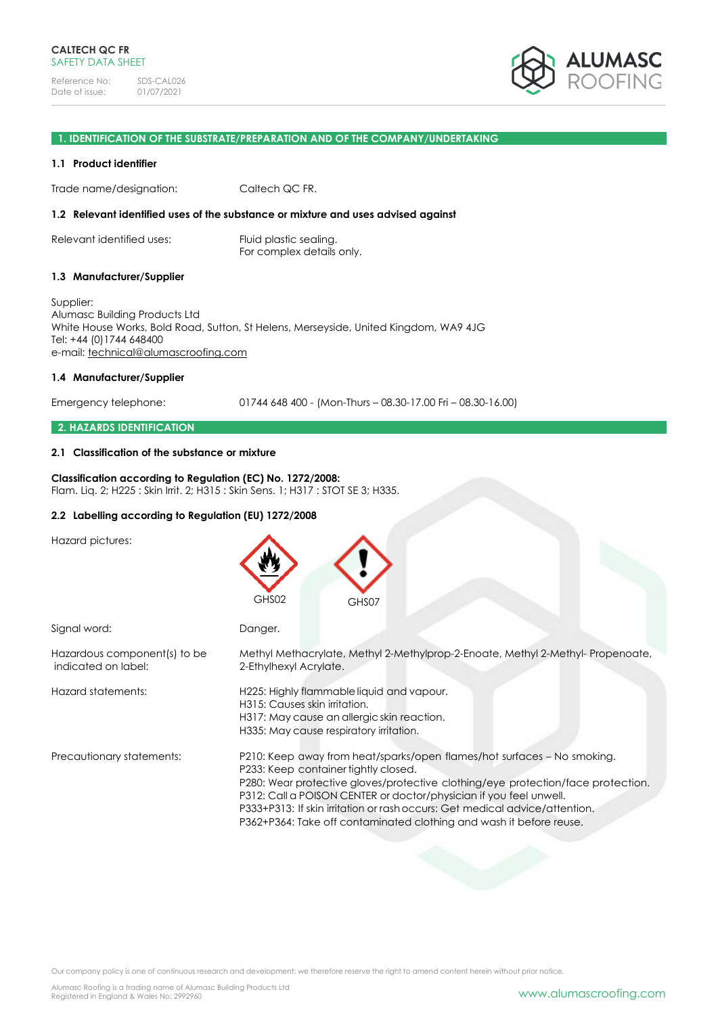

### **1. IDENTIFICATION OF THE SUBSTRATE/PREPARATION AND OF THE COMPANY/UNDERTAKING**

#### **1.1 Product identifier**

Trade name/designation: Caltech QC FR.

#### **1.2 Relevant identified uses of the substance or mixture and uses advised against**

Relevant identified uses: Fluid plastic sealing. For complex details only.

#### **1.3 Manufacturer/Supplier**

Supplier: Alumasc Building Products Ltd White House Works, Bold Road, Sutton, St Helens, Merseyside, United Kingdom, WA9 4JG Tel: +44 (0)1744 648400 e-mail: [technical@alumascroofing.com](mailto:technical@alumascroofing.com)

### **1.4 Manufacturer/Supplier**

Emergency telephone: 01744 648 400 - (Mon-Thurs – 08.30-17.00 Fri – 08.30-16.00)

### **2. HAZARDS IDENTIFICATION**

### **2.1 Classification of the substance or mixture**

#### **Classification according to Regulation (EC) No. 1272/2008:**

Flam. Liq. 2; H225 : Skin Irrit. 2; H315 : Skin Sens. 1; H317 : STOT SE 3; H335.

#### **2.2 Labelling according to Regulation (EU) 1272/2008**

| Hazard pictures:                                    | GHS02<br>GHS07                                                                                                                                                                                                                                                                                                                                                                                                                  |
|-----------------------------------------------------|---------------------------------------------------------------------------------------------------------------------------------------------------------------------------------------------------------------------------------------------------------------------------------------------------------------------------------------------------------------------------------------------------------------------------------|
| Signal word:                                        | Danger.                                                                                                                                                                                                                                                                                                                                                                                                                         |
| Hazardous component(s) to be<br>indicated on label: | Methyl Methacrylate, Methyl 2-Methylprop-2-Enoate, Methyl 2-Methyl-Propenoate,<br>2-Ethylhexyl Acrylate.                                                                                                                                                                                                                                                                                                                        |
| Hazard statements:                                  | H225: Highly flammable liquid and vapour.<br>H315: Causes skin irritation.<br>H317: May cause an allergic skin reaction.<br>H335: May cause respiratory irritation.                                                                                                                                                                                                                                                             |
| Precautionary statements:                           | P210: Keep away from heat/sparks/open flames/hot surfaces - No smoking.<br>P233: Keep container tightly closed.<br>P280: Wear protective gloves/protective clothing/eye protection/face protection.<br>P312: Call a POISON CENTER or doctor/physician if you feel unwell.<br>P333+P313: If skin irritation or rash occurs: Get medical advice/attention.<br>P362+P364: Take off contaminated clothing and wash it before reuse. |

Our company policy is one of continuous research and development; we therefore reserve the right to amend content herein without prior notice.

Alumasc Roofing is a trading name of Alumasc Building Products Ltd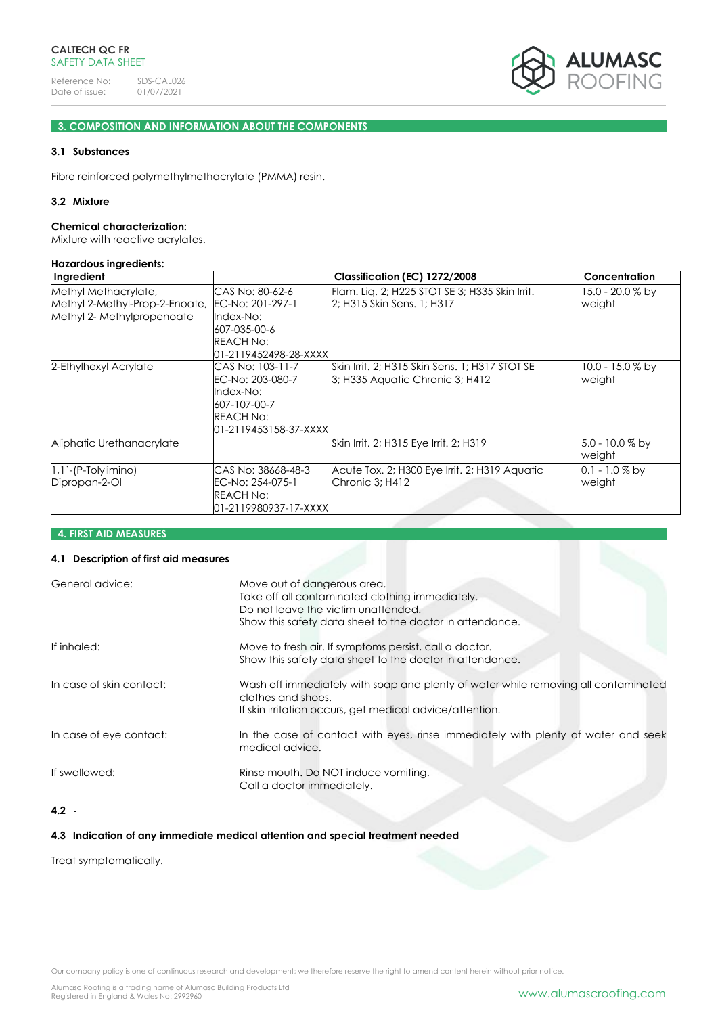

# **3. COMPOSITION AND INFORMATION ABOUT THE COMPONENTS**

# **3.1 Substances**

Fibre reinforced polymethylmethacrylate (PMMA) resin.

### **3.2 Mixture**

#### **Chemical characterization:**

Mixture with reactive acrylates.

#### **Hazardous ingredients:**

| Ingredient                     |                       | Classification (EC) 1272/2008                  | Concentration      |
|--------------------------------|-----------------------|------------------------------------------------|--------------------|
| Methyl Methacrylate,           | CAS No: 80-62-6       | Flam. Lig. 2; H225 STOT SE 3; H335 Skin Irrit. | 15.0 - 20.0 % by   |
| Methyl 2-Methyl-Prop-2-Enoate, | EC-No: 201-297-1      | 2; H315 Skin Sens. 1; H317                     | weight             |
| Methyl 2- Methylpropenoate     | Index-No:             |                                                |                    |
|                                | 607-035-00-6          |                                                |                    |
|                                | <b>REACH No:</b>      |                                                |                    |
|                                | 01-2119452498-28-XXXX |                                                |                    |
| 2-Ethylhexyl Acrylate          | CAS No: 103-11-7      | Skin Irrit, 2; H315 Skin Sens, 1; H317 STOT SE | $10.0 - 15.0 %$ by |
|                                | EC-No: 203-080-7      | 3; H335 Aquatic Chronic 3; H412                | weight             |
|                                | Index-No:             |                                                |                    |
|                                | 607-107-00-7          |                                                |                    |
|                                | <b>REACH No:</b>      |                                                |                    |
|                                | 01-2119453158-37-XXXX |                                                |                    |
| Aliphatic Urethanacrylate      |                       | Skin Irrit. 2; H315 Eye Irrit. 2; H319         | 5.0 - 10.0 % by    |
|                                |                       |                                                | weight             |
| $ 1,1)-$ (P-Tolylimino)        | CAS No: 38668-48-3    | Acute Tox. 2; H300 Eye Irrit. 2; H319 Aquatic  | $0.1 - 1.0\%$ by   |
| Dipropan-2-OI                  | EC-No: 254-075-1      | Chronic 3; H412                                | weight             |
|                                | REACH No:             |                                                |                    |
|                                | 01-2119980937-17-XXXX |                                                |                    |

# **4. FIRST AID MEASURES**

# **4.1 Description of first aid measures**

| General advice:          | Move out of dangerous area.<br>Take off all contaminated clothing immediately.<br>Do not leave the victim unattended.<br>Show this safety data sheet to the doctor in attendance. |
|--------------------------|-----------------------------------------------------------------------------------------------------------------------------------------------------------------------------------|
| If inhaled:              | Move to fresh air. If symptoms persist, call a doctor.<br>Show this safety data sheet to the doctor in attendance.                                                                |
| In case of skin contact: | Wash off immediately with soap and plenty of water while removing all contaminated<br>clothes and shoes.<br>If skin irritation occurs, get medical advice/attention.              |
| In case of eye contact:  | In the case of contact with eyes, rinse immediately with plenty of water and seek<br>medical advice.                                                                              |
| If swallowed:            | Rinse mouth. Do NOT induce vomiting.<br>Call a doctor immediately.                                                                                                                |

# **4.2 -**

# **4.3 Indication of any immediate medical attention and special treatment needed**

Treat symptomatically.

Our company policy is one of continuous research and development; we therefore reserve the right to amend content herein without prior notice.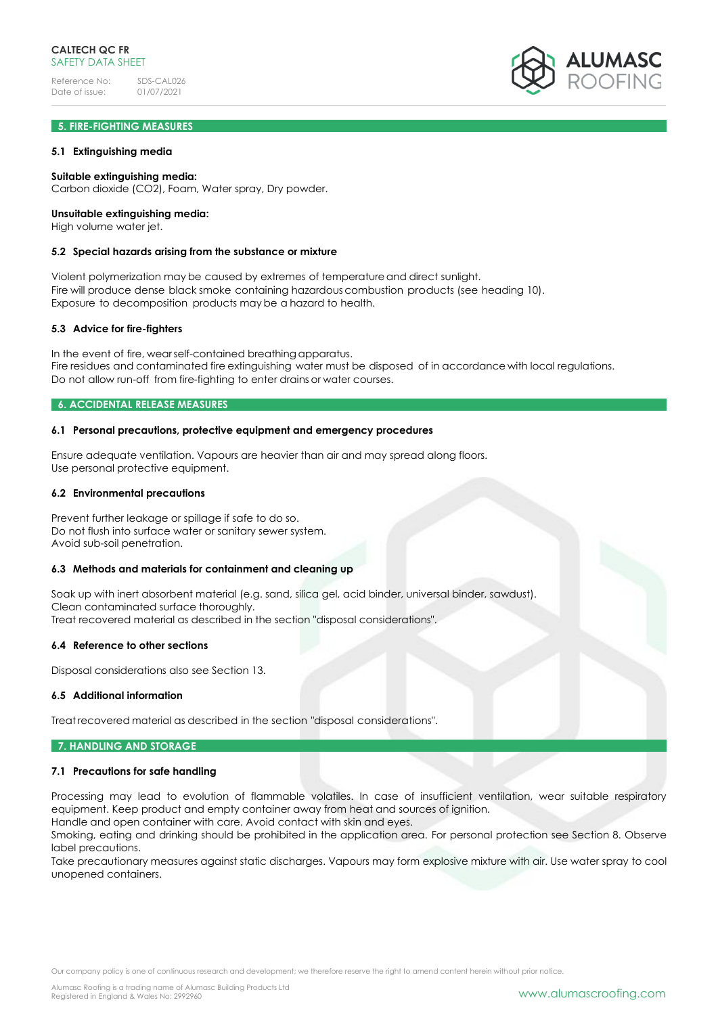# **5. FIRE-FIGHTING MEASURES**

### **5.1 Extinguishing media**

### **Suitable extinguishing media:**

Carbon dioxide (CO2), Foam, Water spray, Dry powder.

### **Unsuitable extinguishing media:**

High volume water jet.

#### **5.2 Special hazards arising from the substance or mixture**

Violent polymerization may be caused by extremes of temperatureand direct sunlight. Fire will produce dense black smoke containing hazardous combustion products (see heading 10). Exposure to decomposition products may be a hazard to health.

#### **5.3 Advice for fire-fighters**

In the event of fire, wearself-contained breathing apparatus. Fire residues and contaminated fire extinguishing water must be disposed of in accordance with local regulations. Do not allow run-off from fire-fighting to enter drains or water courses.

### **6. ACCIDENTAL RELEASE MEASURES**

### **6.1 Personal precautions, protective equipment and emergency procedures**

Ensure adequate ventilation. Vapours are heavier than air and may spread along floors. Use personal protective equipment.

#### **6.2 Environmental precautions**

Prevent further leakage or spillage if safe to do so. Do not flush into surface water or sanitary sewer system. Avoid sub-soil penetration.

### **6.3 Methods and materials for containment and cleaning up**

Soak up with inert absorbent material (e.g. sand, silica gel, acid binder, universal binder, sawdust). Clean contaminated surface thoroughly. Treat recovered material as described in the section "disposal considerations".

#### **6.4 Reference to other sections**

Disposal considerations also see Section 13.

### **6.5 Additional information**

Treat recovered material as described in the section "disposal considerations".

#### **7. HANDLING AND STORAGE**

#### **7.1 Precautions for safe handling**

Processing may lead to evolution of flammable volatiles. In case of insufficient ventilation, wear suitable respiratory equipment. Keep product and empty container away from heat and sources of ignition. Handle and open container with care. Avoid contact with skin and eyes.

Smoking, eating and drinking should be prohibited in the application area. For personal protection see Section 8. Observe label precautions.

Take precautionary measures against static discharges. Vapours may form explosive mixture with air. Use water spray to cool unopened containers.

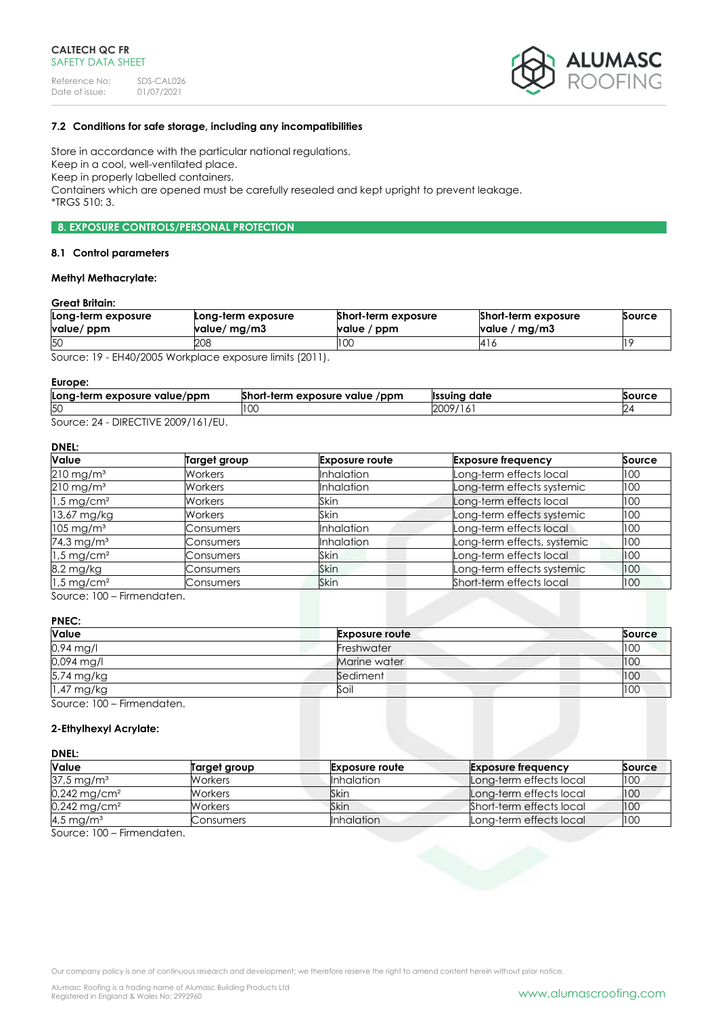

# **7.2 Conditions for safe storage, including any incompatibilities**

Store in accordance with the particular national regulations. Keep in a cool, well-ventilated place. Keep in properly labelled containers. Containers which are opened must be carefully resealed and kept upright to prevent leakage. \*TRGS 510: 3.

# **8. EXPOSURE CONTROLS/PERSONAL PROTECTION**

#### **8.1 Control parameters**

## **Methyl Methacrylate:**

### **Great Britain:**

| Long-term exposure<br>value/ ppm | Long-term exposure<br>value/ mg/m3 | Short-term exposure<br>value / ppm | Short-term exposure<br>value / mg/m3 | Source |
|----------------------------------|------------------------------------|------------------------------------|--------------------------------------|--------|
| 50                               | 208                                | I UU                               | 416                                  |        |

Source: 19 - EH40/2005 Workplace exposure limits (2011).

#### **Europe:**

| Long-term exposure value/ppm | Short-term exposure value<br>/ppm | Ilssuina date     | Source |
|------------------------------|-----------------------------------|-------------------|--------|
| 50                           |                                   | 2009/1<br>$\circ$ |        |
| DIDFCTH/EQOOOIIIIET          |                                   |                   |        |

Source: 24 - DIRECTIVE 2009/161/EU.

# **DNEL:**

| Value                    | <b>Target group</b> | <b>Exposure route</b> | <b>Exposure frequency</b>   | Source |
|--------------------------|---------------------|-----------------------|-----------------------------|--------|
| $210 \,\mathrm{mg/m^3}$  | Workers             | <b>Inhalation</b>     | Long-term effects local     | 100    |
| $210$ mg/m <sup>3</sup>  | <b>Workers</b>      | <b>Inhalation</b>     | Long-term effects systemic  | 100    |
| $1.5 \,\mathrm{mg/cm^2}$ | <b>Workers</b>      | Skin                  | Long-term effects local     | 100    |
| 13,67 mg/kg              | <b>Workers</b>      | Skin                  | Long-term effects systemic  | 100    |
| $105 \text{ mg/m}^3$     | Consumers           | <b>Inhalation</b>     | Long-term effects local     | 100    |
| 74,3 mg/m <sup>3</sup>   | Consumers           | <b>Inhalation</b>     | Long-term effects, systemic | 100    |
| $1.5 \,\mathrm{mg/cm^2}$ | Consumers           | Skin                  | Long-term effects local     | 100    |
| 8,2 mg/kg                | Consumers           | Skin                  | Long-term effects systemic  | 100    |
| $1.5 \,\mathrm{mg/cm^2}$ | Consumers           | <b>Skin</b>           | Short-term effects local    | 100    |

Source: 100 – Firmendaten.

### **PNEC:**

| Value                      | <b>Exposure route</b> | Source |
|----------------------------|-----------------------|--------|
| 0,94 mg/l                  | Freshwater            | 100    |
| 0,094 mg/l                 | Marine water          | 100    |
| 5,74 mg/kg                 | Sediment              | 100    |
| 1,47 mg/kg                 | Soil                  | 100    |
| Source: 100 – Firmendaten. |                       |        |

### **2-Ethylhexyl Acrylate:**

#### **DNEL:**

| <b>Value</b>               | Target group | <b>Exposure route</b> | <b>Exposure frequency</b> | Source |
|----------------------------|--------------|-----------------------|---------------------------|--------|
| $37.5 \,\mathrm{mg/m^3}$   | Workers      | <b>Inhalation</b>     | Long-term effects local   | 100    |
| $0,242$ mg/cm <sup>2</sup> | Workers      | Skin                  | Long-term effects local   | 100    |
| $0,242 \,\mathrm{mg/cm^2}$ | Workers      | Skin                  | Short-term effects local  | 100    |
| 4,5 mg/m <sup>3</sup>      | Consumers    | <b>Inhalation</b>     | Long-term effects local   | 100    |

Source: 100 – Firmendaten.

Our company policy is one of continuous research and development; we therefore reserve the right to amend content herein without prior notice.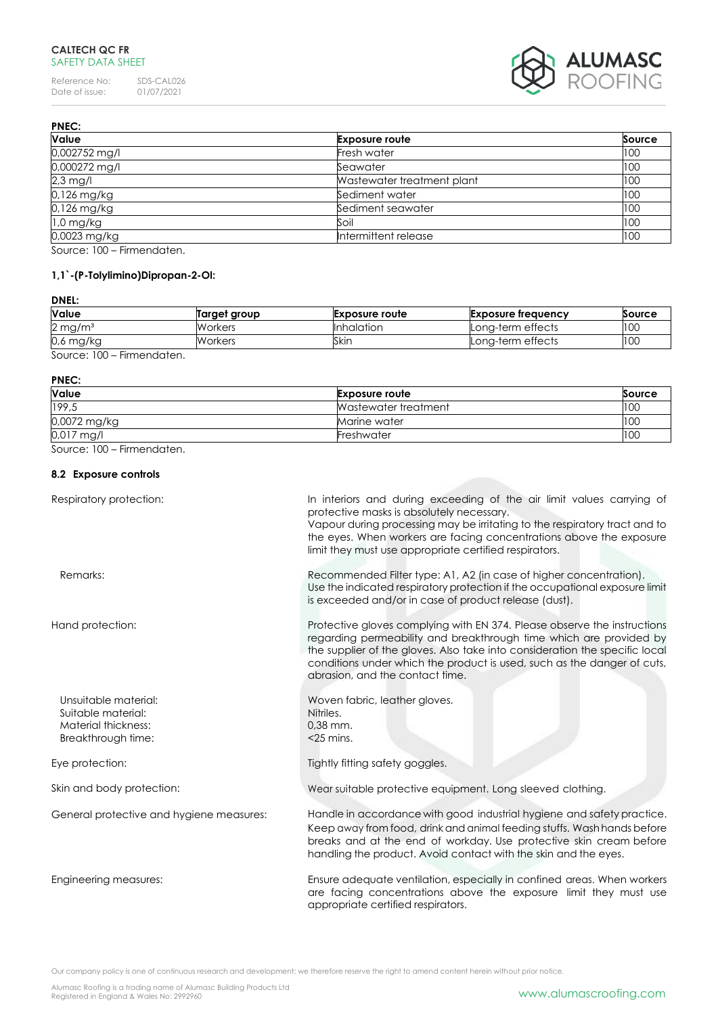Reference No: SDS-CAL026<br>Date of issue: 01/07/2021 Date of issue: 01/07/2021



| <b>PNEC:</b>        |                            |               |
|---------------------|----------------------------|---------------|
| <b>Value</b>        | <b>Exposure route</b>      | <b>Source</b> |
| 0,002752 mg/l       | Fresh water                | 100           |
| 0,000272 mg/l       | Seawater                   | 100           |
| $2.3$ mg/l          | Wastewater treatment plant | 100           |
| 0,126 mg/kg         | Sediment water             | 100           |
| 0,126 mg/kg         | Sediment seawater          | 100           |
| $1,0$ mg/kg         | Soil                       | 100           |
| 0,0023 mg/kg        | Intermittent release       | 100           |
| $R = 100$ $R = 100$ |                            |               |

Source: 100 – Firmendaten.

# **1,1`-(P-Tolylimino)Dipropan-2-Ol:**

# **DNEL:**

| <b>Value</b>          | Target group | <b>Exposure route</b> | Exposure freauency | <b>Source</b> |
|-----------------------|--------------|-----------------------|--------------------|---------------|
| $2 \,\mathrm{mg/m^3}$ | Workers      | <b>Inhalation</b>     | Long-term effects  | 100           |
| $0.6$ mg/kg           | Workers      | Skin                  | Lona-term effects  | 100           |
| Firmannadortan        |              |                       |                    |               |

Source: 100 – Firmendaten.

#### **PNEC:**

| Value        | <b>Exposure route</b> | Source |
|--------------|-----------------------|--------|
| 199,5        | Wastewater treatment  | 100    |
| 0,0072 mg/kg | Marine water          | 100    |
| $0.017$ mg/l | Freshwater            | 100    |

Source: 100 – Firmendaten.

# **8.2 Exposure controls**

| Respiratory protection:                                                                 | In interiors and during exceeding of the air limit values carrying of<br>protective masks is absolutely necessary.<br>Vapour during processing may be irritating to the respiratory tract and to<br>the eyes. When workers are facing concentrations above the exposure<br>limit they must use appropriate certified respirators.           |
|-----------------------------------------------------------------------------------------|---------------------------------------------------------------------------------------------------------------------------------------------------------------------------------------------------------------------------------------------------------------------------------------------------------------------------------------------|
| Remarks:                                                                                | Recommended Filter type: A1, A2 (in case of higher concentration).<br>Use the indicated respiratory protection if the occupational exposure limit<br>is exceeded and/or in case of product release (dust).                                                                                                                                  |
| Hand protection:                                                                        | Protective gloves complying with EN 374. Please observe the instructions<br>regarding permeability and breakthrough time which are provided by<br>the supplier of the gloves. Also take into consideration the specific local<br>conditions under which the product is used, such as the danger of cuts,<br>abrasion, and the contact time. |
| Unsuitable material:<br>Suitable material:<br>Material thickness:<br>Breakthrough time: | Woven fabric, leather gloves.<br>Nitriles.<br>0,38 mm.<br>$<$ 25 mins.                                                                                                                                                                                                                                                                      |
| Eye protection:                                                                         | Tightly fitting safety goggles.                                                                                                                                                                                                                                                                                                             |
| Skin and body protection:                                                               | Wear suitable protective equipment. Long sleeved clothing.                                                                                                                                                                                                                                                                                  |
| General protective and hygiene measures:                                                | Handle in accordance with good industrial hygiene and safety practice.<br>Keep away from food, drink and animal feeding stuffs. Wash hands before<br>breaks and at the end of workday. Use protective skin cream before<br>handling the product. Avoid contact with the skin and the eyes.                                                  |
| Engineering measures:                                                                   | Ensure adequate ventilation, especially in confined areas. When workers<br>are facing concentrations above the exposure limit they must use<br>appropriate certified respirators.                                                                                                                                                           |

Our company policy is one of continuous research and development; we therefore reserve the right to amend content herein without prior notice.

Alumasc Roofing is a trading name of Alumasc Building Products Ltd<br>Registered in England & Wales No: 2992960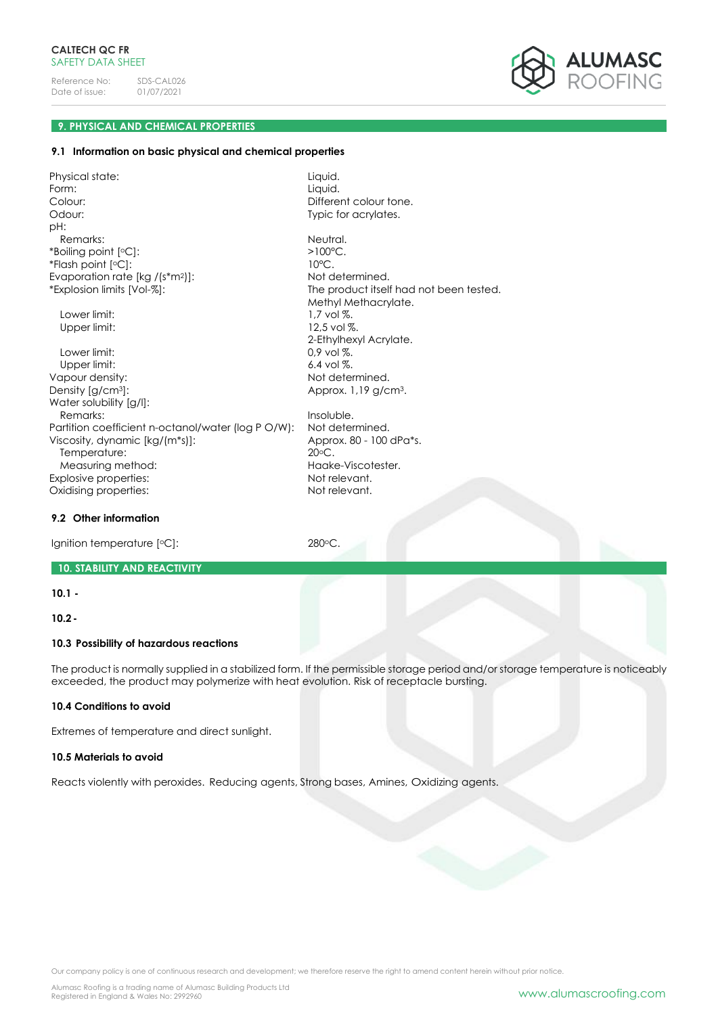

# **9. PHYSICAL AND CHEMICAL PROPERTIES**

### **9.1 Information on basic physical and chemical properties**

Physical state: Liquid. Form: Liquid. Colour: Colour: Different colour tone. Odour: Typic for acrylates. pH: Remarks: Neutral. \*Boiling point [ \*Flash point [ Evaporation rate [kg /(s\*m<sup>2</sup>]]: Not determined. \*Explosion limits [Vol-%]: The product itself had not been tested.

Lower limit:  $1.7$  vol %. Upper limit: 12,5 vol %.

Lower limit:  $0.9$  vol %. Upper limit: 6.4 vol %. Vapour density:  $\blacksquare$ Density [g/cm<sup>3</sup>]: Density [g/cm<sup>3</sup>]: Water solubility [g/l]: Remarks: Insoluble.<br>artition coefficient n-octanol/water (loa PO/W): Not determined. Partition coefficient n-octanol/water (log P O/W): Viscosity, dynamic [kg/(m\*s)]: Approx. 80 - 100 dPa\*s. Temperature: 20<sup>o</sup>C. Measuring method: Measuring method: Explosive properties: Not relevant. Oxidising properties: Not relevant.

### **9.2 Other information**

Ignition temperature [°C]: 280°C.

# **10. STABILITY AND REACTIVITY**

# **10.1 -**

**10.2-**

# **10.3 Possibility of hazardous reactions**

The product is normally supplied in a stabilized form. If the permissible storage period and/or storage temperature is noticeably exceeded, the product may polymerize with heat evolution. Risk of receptacle bursting.

 $>100^{\circ}$ C.

Methyl Methacrylate.

2-Ethylhexyl Acrylate.

 $10^{\circ}$ C.

### **10.4 Conditions to avoid**

Extremes of temperature and direct sunlight.

### **10.5 Materials to avoid**

Reacts violently with peroxides. Reducing agents, Strong bases, Amines, Oxidizing agents.

Our company policy is one of continuous research and development; we therefore reserve the right to amend content herein without prior notice.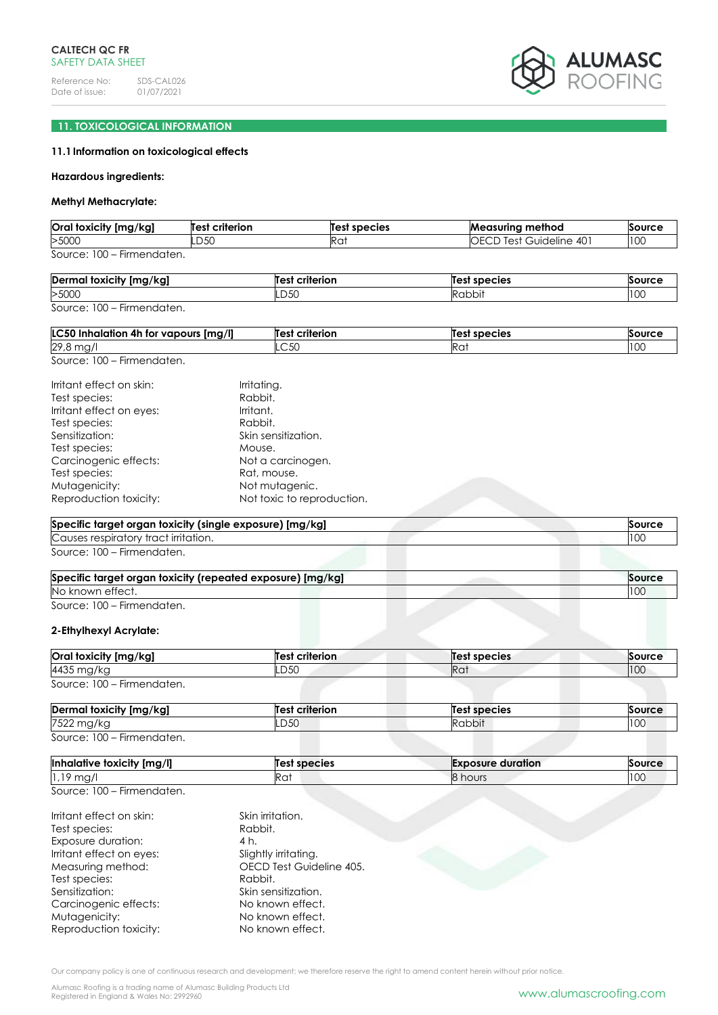

# **11. TOXICOLOGICAL INFORMATION**

# **11.1Information on toxicological effects**

#### **Hazardous ingredients:**

# **Methyl Methacrylate:**

| Oral toxicity [mg/kg]      | <b>Test criterion</b> | Test species | <b>Measuring method</b>        | Source |
|----------------------------|-----------------------|--------------|--------------------------------|--------|
| >5000                      | LD50                  |              | <b>OECD Test Guideline 401</b> | 10C    |
| Source: 100 – Firmendaten. |                       |              |                                |        |

| Derr<br><br>$\sqrt{2}$<br>toxic<br>*ITV<br>ՊԼ, | criterior<br>$-$ | l species<br>≏י |     |
|------------------------------------------------|------------------|-----------------|-----|
| >5000                                          | ∟ບບບ             | יו הו<br>ושע    | 100 |

```
Source: 100 – Firmendaten.
```

| Img/II<br><b>LC50</b><br><br>vapours<br>4h.<br>tor<br>alation<br>mnr | <br>Test<br>criterion | Tе.<br>species | Source |
|----------------------------------------------------------------------|-----------------------|----------------|--------|
| 29,8<br>$\sim$<br>— ب∙<br>$-1$                                       | UU                    | Ra             | ט ע    |

Source: 100 – Firmendaten.

| Irritant effect on skin: | Irritating.                |
|--------------------------|----------------------------|
| Test species:            | Rabbit.                    |
| Irritant effect on eyes: | Irritant.                  |
| Test species:            | Rabbit.                    |
| Sensitization:           | Skin sensitization.        |
| Test species:            | Mouse.                     |
| Carcinogenic effects:    | Not a carcinogen.          |
| Test species:            | Rat, mouse.                |
| Mutagenicity:            | Not mutagenic.             |
| Reproduction toxicity:   | Not toxic to reproduction. |

| Specific target organ toxicity (single exposure) [mg/kg] |     |
|----------------------------------------------------------|-----|
| Causes respiratory tract irritation.                     | 100 |
| Source: 100 – Firmendaten.                               |     |

| Specific target organ toxicity (repeated exposure) [mg/kg] | Source |
|------------------------------------------------------------|--------|
| No known effect.                                           | 100    |
| Source: 100 – Firmendaten.                                 |        |

# **2-Ethylhexyl Acrylate:**

| Oral toxicity [mg/kg]           | Test criterion | <b>Test species</b> | Source |
|---------------------------------|----------------|---------------------|--------|
| 4435 mg/kg                      | .D50           | Rat                 | 100    |
| Source: $100 -$<br>Firmendaten. |                |                     |        |

| Dermal toxicity [mg/kg]    | <b>Test criterion</b> | Test species | Source |
|----------------------------|-----------------------|--------------|--------|
| 7522 mg/kg                 | LD50                  | Rabbit       | 100    |
| Source: 100 – Firmendaten. |                       |              |        |

| $\cdots$<br><b>Inhalative</b><br>↑ foxicity [mg/l] | species | $-$<br>duration<br><b>Exposure</b> | Source |
|----------------------------------------------------|---------|------------------------------------|--------|
| 1,19<br>ma <sub>1</sub>                            | Ka,     | ' hours                            | 100    |

Source: 100 – Firmendaten.

| Irritant effect on skin: | Skin irritation.         |
|--------------------------|--------------------------|
| Test species:            | Rabbit.                  |
| Exposure duration:       | 4 h.                     |
| Irritant effect on eyes: | Slightly irritating.     |
| Measuring method:        | OECD Test Guideline 405. |
| Test species:            | Rabbit.                  |
| Sensitization:           | Skin sensitization.      |
| Carcinogenic effects:    | No known effect.         |
| Mutagenicity:            | No known effect.         |
| Reproduction toxicity:   | No known effect.         |

Our company policy is one of continuous research and development; we therefore reserve the right to amend content herein without prior notice.

Alumasc Roofing is a trading name of Alumasc Building Products Ltd<br>Registered in England & Wales No: 2992960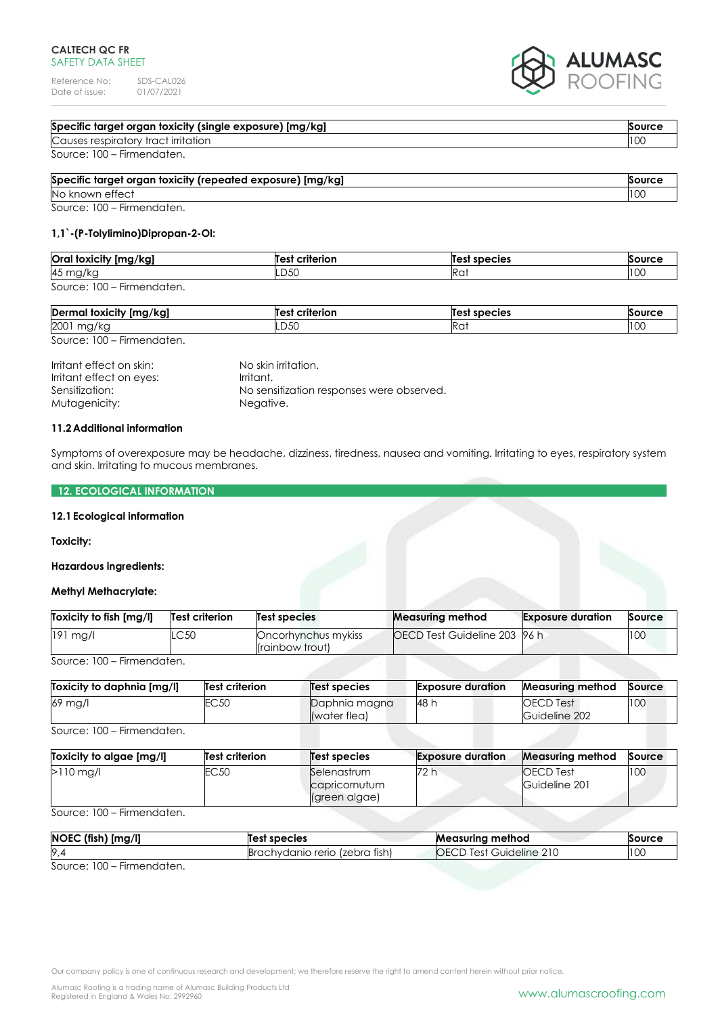Reference No: SDS-CAL026<br>Date of issue: 01/07/2021 Date of issue:



| Specific target organ toxicity (single exposure) [mg/kg] |  | Source |
|----------------------------------------------------------|--|--------|
| Causes respiratory tract irritation                      |  | 10C    |
| Source: 100 – Firmendaten.                               |  |        |
| .                                                        |  |        |

| Specific target organ toxicity (repeated exposure) [mg/kg]<br>Source |     |
|----------------------------------------------------------------------|-----|
| No known effect                                                      | 100 |
| Source: 100 – Firmendaten.                                           |     |

# **1,1`-(P-Tolylimino)Dipropan-2-Ol:**

| Oral toxicity [mg/kg]                                         | Test criterion | Test species | Source |
|---------------------------------------------------------------|----------------|--------------|--------|
| 45 mg/kg                                                      | LD50           | Rai          | 100    |
| ' 00 '<br>Firmendaten.<br>Source:<br>$\overline{\phantom{0}}$ |                |              |        |

| Dermal toxicity [mg/kg]    | Test criterion | Test species | Source |  |
|----------------------------|----------------|--------------|--------|--|
| 2001.<br>mg/kg             | LD50           | Rai          | 100    |  |
| Source: 100 - Firmendaten. |                |              |        |  |

| Irritant effect on skin: | No skin irritation.                       |
|--------------------------|-------------------------------------------|
| Irritant effect on eyes: | Irritant.                                 |
| Sensitization:           | No sensitization responses were observed. |
| Mutagenicity:            | Negative.                                 |

# **11.2Additional information**

Symptoms of overexposure may be headache, dizziness, tiredness, nausea and vomiting. Irritating to eyes, respiratory system and skin. Irritating to mucous membranes.

# **12. ECOLOGICAL INFORMATION**

# **12.1Ecological information**

### **Toxicity:**

# **Hazardous ingredients:**

### **Methyl Methacrylate:**

| Toxicity to fish [mg/l] | Test criterion | Test species                           | <b>Measuring method</b>             | <b>Exposure duration</b> | Source |
|-------------------------|----------------|----------------------------------------|-------------------------------------|--------------------------|--------|
| $191$ mg/l              | LC 50          | Oncorhynchus mykiss<br>(rainbow trout) | <b>OECD Test Guideline 203 96 h</b> |                          | 100    |

Source: 100 – Firmendaten.

| Toxicity to daphnia [mg/l] | <b>Test criterion</b> | Test species                  | <b>Exposure duration</b> | <b>Measuring method</b>           | Source |
|----------------------------|-----------------------|-------------------------------|--------------------------|-----------------------------------|--------|
| 69 mg/l                    | EC 50:                | Daphnia magna<br>(water flea) | 48 h                     | <b>OECD</b> Test<br>Guideline 202 | 100    |

Source: 100 – Firmendaten.

| Toxicity to algae [mg/l] | <b>Test criterion</b> | Test species                                  | <b>Exposure duration</b> | <b>Measuring method</b>            | Source |
|--------------------------|-----------------------|-----------------------------------------------|--------------------------|------------------------------------|--------|
| $>110$ mg/l              | EC50                  | Selenastrum<br>capricornutum<br>(green algae) | 72 h                     | <b>IOECD</b> Test<br>Guideline 201 | 100    |

Source: 100 – Firmendaten.

| [mg/l]<br><b>NOEC</b><br>(fish)          | <b>species</b><br>Test                     | <b>Measuring method</b> | Source |
|------------------------------------------|--------------------------------------------|-------------------------|--------|
| 9.                                       | tish<br><b>Brachydanio rerio</b><br>lzebra | Guideline 210<br>Test   | 100    |
| 0.100<br>المراسية المراسر بمراسم ومردونا |                                            |                         |        |

Source: 100 – Firmendaten.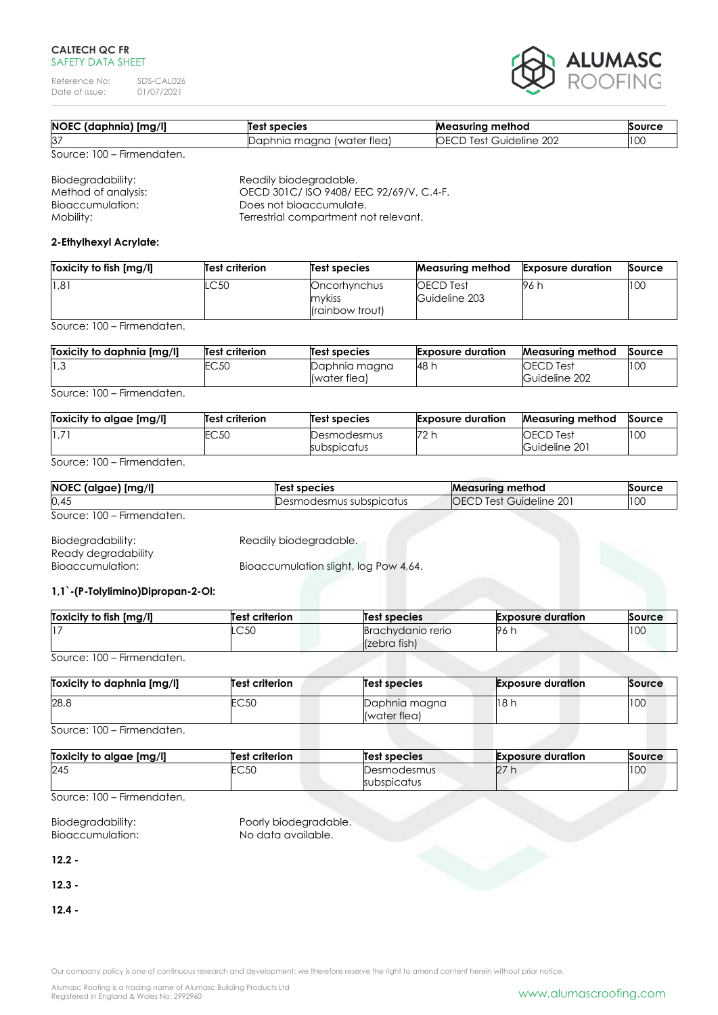Reference No: SDS-CAL026<br>Date of issue: 01/07/2021 Date of issue:



| NOEC (daphnia) [mg/l]      | Test species               | <b>Measuring method</b>        | Source |
|----------------------------|----------------------------|--------------------------------|--------|
| 37                         | Daphnia magna (water flea) | <b>OECD Test Guideline 202</b> | 100    |
| Source: 100 – Firmendaten. |                            |                                |        |

Biodegradability: Readily biodegradable.<br>
Method of analysis: CECD 301C/ISO 9408/E Method of analysis: OECD 301C/ ISO 9408/ EEC 92/69/V, C.4-F.<br>Bioaccumulation: Does not bioaccumulate. Does not bioaccumulate. Mobility: Terrestrial compartment not relevant.

### **2-Ethylhexyl Acrylate:**

| Toxicity to fish [mg/l] | Test criterion | Test species                                       | <b>Measuring method</b>           | <b>Exposure duration</b> | Source |
|-------------------------|----------------|----------------------------------------------------|-----------------------------------|--------------------------|--------|
| 1,81                    | .C50           | Oncorhynchus<br>mvkiss<br><i>l</i> (rainbow trout) | <b>OECD</b> Test<br>Guideline 203 | 96 h                     | 100    |

Source: 100 – Firmendaten.

| Toxicity to daphnia [mg/l] | Test criterion | Test species                  | <b>Exposure duration</b> | <b>Measuring method</b>           | Source |
|----------------------------|----------------|-------------------------------|--------------------------|-----------------------------------|--------|
| 3, 1                       | EC 50:         | Daphnia magna<br>(water flea) | 148 h                    | <b>OECD Test</b><br>Guideline 202 | 100    |

Source: 100 – Firmendaten.

| Toxicity to algae [mg/l] | <b>Test criterion</b> | Test species               | <b>Exposure duration</b> | <b>Measuring method</b>           | Source |
|--------------------------|-----------------------|----------------------------|--------------------------|-----------------------------------|--------|
| 1,71                     | EC50                  | Desmodesmus<br>subspicatus | 72 h                     | <b>OECD</b> Test<br>Guideline 201 | 100    |

Source: 100 – Firmendaten.

| NOEC (algae) [mg/l]        | <b>Test species</b>     | <b>Measuring method</b>        | Source |
|----------------------------|-------------------------|--------------------------------|--------|
| 0,45                       | Desmodesmus subspicatus | <b>OECD Test Guideline 201</b> | 100    |
| Source: 100 – Firmendaten. |                         |                                |        |

Biodegradability: Readily biodegradable. Ready degradability<br>Bioaccumulation: Bioaccumulation slight, log Pow 4,64.

# **1,1`-(P-Tolylimino)Dipropan-2-Ol:**

| Toxicity to fish [mg/l] | <b>Test criterion</b> | Test species                      | <b>Exposure duration</b> | Source |
|-------------------------|-----------------------|-----------------------------------|--------------------------|--------|
|                         | $\cap$ 50<br>∟ບບບ     | Brachydanio rerio<br>(zebra fish) | - 96 r.                  | 100    |

Source: 100 – Firmendaten.

| Toxicity to daphnia [mg/l] | <b>Test criterion</b> | <b>Test species</b>           | <b>Exposure duration</b> | Source |
|----------------------------|-----------------------|-------------------------------|--------------------------|--------|
| 28,8                       | EC50                  | Daphnia magna<br>(water flea) | 18h                      | 100    |

Source: 100 – Firmendaten.

| Toxicity to algae [mg/l] | <b>Test criterion</b> | <b>Test species</b> | <b>Exposure duration</b> | Source |
|--------------------------|-----------------------|---------------------|--------------------------|--------|
| 245                      | EC50                  | Desmodesmus         | 27 h                     | 100    |
|                          |                       | subspicatus         |                          |        |

Source: 100 – Firmendaten.

| Biodegradability: | Poorly biodegradable. |
|-------------------|-----------------------|
| Bioaccumulation:  | No data available.    |

**12.2 -**

**12.3 -**

**12.4 -**

Our company policy is one of continuous research and development; we therefore reserve the right to amend content herein without prior notice.

Alumasc Roofing is a trading name of Alumasc Building Products Ltd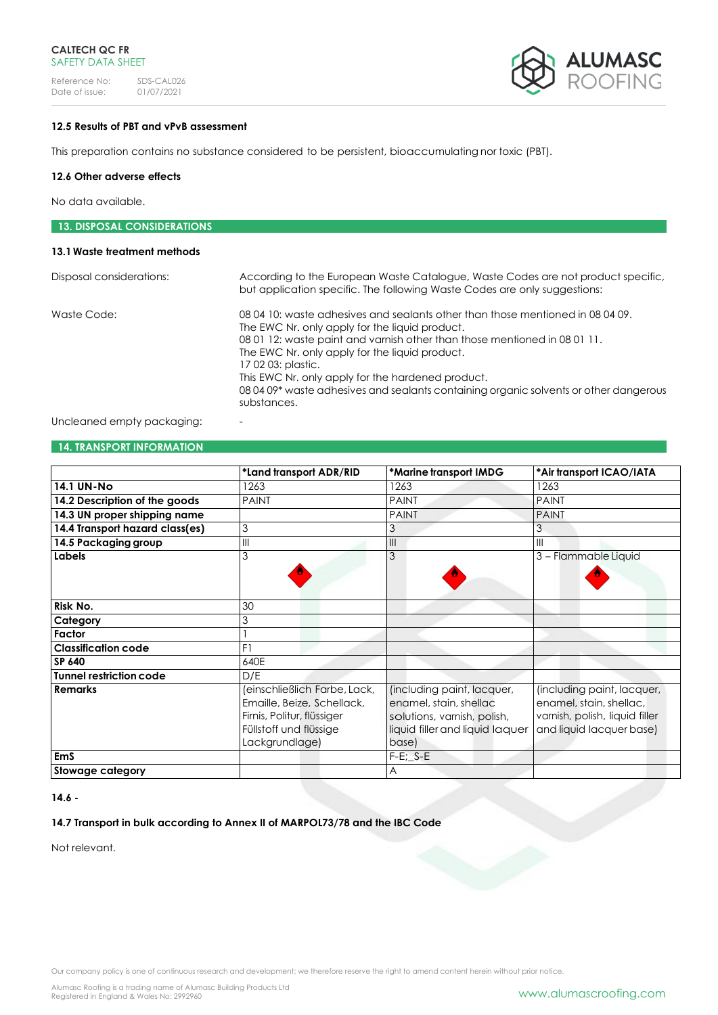Reference No: SDS-CAL026<br>Date of issue: 01/07/2021 Date of issue:



# **12.5 Results of PBT and vPvB assessment**

This preparation contains no substance considered to be persistent, bioaccumulating nor toxic (PBT).

### **12.6 Other adverse effects**

No data available.

| <b>13. DISPOSAL CONSIDERATIONS</b> |                                                                                                                                                                                                                                                                                                                                                                                                                                                    |
|------------------------------------|----------------------------------------------------------------------------------------------------------------------------------------------------------------------------------------------------------------------------------------------------------------------------------------------------------------------------------------------------------------------------------------------------------------------------------------------------|
| 13.1 Waste treatment methods       |                                                                                                                                                                                                                                                                                                                                                                                                                                                    |
| Disposal considerations:           | According to the European Waste Catalogue, Waste Codes are not product specific,<br>but application specific. The following Waste Codes are only suggestions:                                                                                                                                                                                                                                                                                      |
| Waste Code:                        | 08.04.10: waste adhesives and sealants other than those mentioned in 08.04.09.<br>The EWC Nr. only apply for the liquid product.<br>08 01 12: waste paint and varnish other than those mentioned in 08 01 11.<br>The EWC Nr. only apply for the liquid product.<br>17 02 03: plastic.<br>This EWC Nr. only apply for the hardened product.<br>08 04 09* waste adhesives and sealants containing organic solvents or other dangerous<br>substances. |

Uncleaned empty packaging:

# **14. TRANSPORT INFORMATION**

|                                 | *Land transport ADR/RID                                                                                                              | *Marine transport IMDG                                                                                                          | *Air transport ICAO/IATA                                                                                            |
|---------------------------------|--------------------------------------------------------------------------------------------------------------------------------------|---------------------------------------------------------------------------------------------------------------------------------|---------------------------------------------------------------------------------------------------------------------|
| <b>14.1 UN-No</b>               | 1263                                                                                                                                 | 1263                                                                                                                            | 1263                                                                                                                |
| 14.2 Description of the goods   | <b>PAINT</b>                                                                                                                         | <b>PAINT</b>                                                                                                                    | <b>PAINT</b>                                                                                                        |
| 14.3 UN proper shipping name    |                                                                                                                                      | <b>PAINT</b>                                                                                                                    | <b>PAINT</b>                                                                                                        |
| 14.4 Transport hazard class(es) | 3                                                                                                                                    | 3                                                                                                                               | 3                                                                                                                   |
| 14.5 Packaging group            | $\mathsf{III}$                                                                                                                       | III                                                                                                                             | $\mathbf{III}$                                                                                                      |
| Labels                          | 3                                                                                                                                    | 3                                                                                                                               | 3 - Flammable Liquid                                                                                                |
| Risk No.                        | 30                                                                                                                                   |                                                                                                                                 |                                                                                                                     |
| Category                        | 3                                                                                                                                    |                                                                                                                                 |                                                                                                                     |
| Factor                          |                                                                                                                                      |                                                                                                                                 |                                                                                                                     |
| <b>Classification code</b>      | F1                                                                                                                                   |                                                                                                                                 |                                                                                                                     |
| SP 640                          | 640E                                                                                                                                 |                                                                                                                                 |                                                                                                                     |
| Tunnel restriction code         | D/E                                                                                                                                  |                                                                                                                                 |                                                                                                                     |
| <b>Remarks</b>                  | (einschließlich Farbe, Lack,<br>Emaille, Beize, Schellack,<br>Firnis, Politur, flüssiger<br>Füllstoff und flüssige<br>Lackgrundlage) | (including paint, lacquer,<br>enamel, stain, shellac<br>solutions, varnish, polish,<br>liquid filler and liquid laquer<br>base) | (including paint, lacquer,<br>enamel, stain, shellac,<br>varnish, polish, liquid filler<br>and liquid lacquer base) |
| <b>EmS</b>                      |                                                                                                                                      | $F-E$ ; $S-E$                                                                                                                   |                                                                                                                     |
| Stowage category                |                                                                                                                                      | A                                                                                                                               |                                                                                                                     |

### **14.6 -**

# **14.7 Transport in bulk according to Annex II of MARPOL73/78 and the IBC Code**

Not relevant.